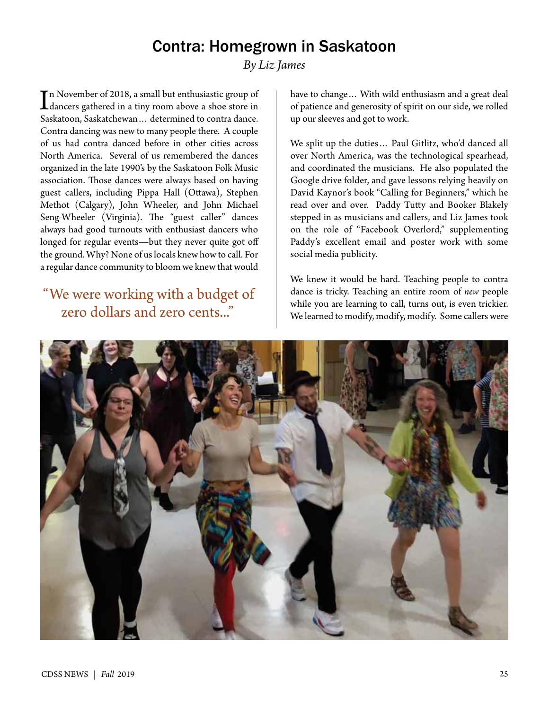## Contra: Homegrown in Saskatoon

*By Liz James*

In November of 2018, a small but enthusiastic group of<br>dancers gathered in a tiny room above a shoe store in<br>Saskitaan Saskitakanan a datamined to sort in drags n November of 2018, a small but enthusiastic group of Saskatoon, Saskatchewan… determined to contra dance. Contra dancing was new to many people there. A couple of us had contra danced before in other cities across North America. Several of us remembered the dances organized in the late 1990's by the Saskatoon Folk Music association. Those dances were always based on having guest callers, including Pippa Hall (Ottawa), Stephen Methot (Calgary), John Wheeler, and John Michael Seng-Wheeler (Virginia). The "guest caller" dances always had good turnouts with enthusiast dancers who longed for regular events—but they never quite got off the ground. Why? None of us locals knew how to call. For a regular dance community to bloom we knew that would

## "We were working with a budget of zero dollars and zero cents..."

have to change… With wild enthusiasm and a great deal of patience and generosity of spirit on our side, we rolled up our sleeves and got to work.

We split up the duties… Paul Gitlitz, who'd danced all over North America, was the technological spearhead, and coordinated the musicians. He also populated the Google drive folder, and gave lessons relying heavily on David Kaynor's book "Calling for Beginners," which he read over and over. Paddy Tutty and Booker Blakely stepped in as musicians and callers, and Liz James took on the role of "Facebook Overlord," supplementing Paddy's excellent email and poster work with some social media publicity.

We knew it would be hard. Teaching people to contra dance is tricky. Teaching an entire room of *new* people while you are learning to call, turns out, is even trickier. We learned to modify, modify, modify. Some callers were